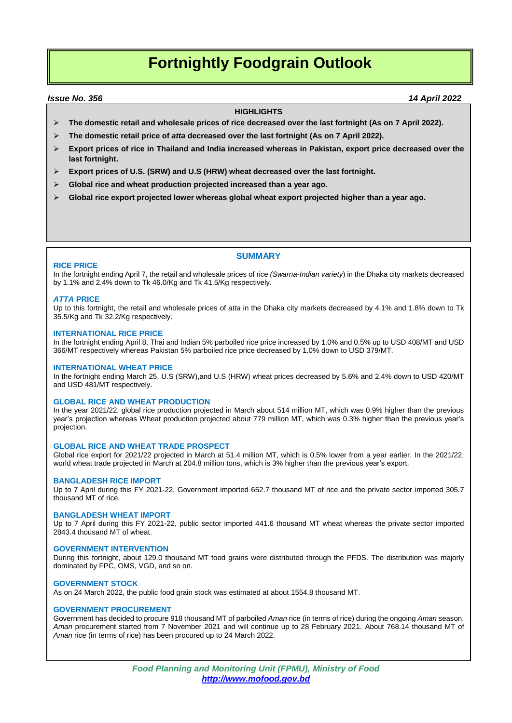# **Fortnightly Foodgrain Outlook**

#### *Issue No. 356 14 April 2022*

#### **HIGHLIGHTS**

- **The domestic retail and wholesale prices of rice decreased over the last fortnight (As on 7 April 2022).**
- **The domestic retail price of** *atta* **decreased over the last fortnight (As on 7 April 2022).**
- **Export prices of rice in Thailand and India increased whereas in Pakistan, export price decreased over the last fortnight.**
- **Export prices of U.S. (SRW) and U.S (HRW) wheat decreased over the last fortnight.**
- **Global rice and wheat production projected increased than a year ago.**
- **Global rice export projected lower whereas global wheat export projected higher than a year ago.**

### **SUMMARY**

#### **RICE PRICE**

In the fortnight ending April 7, the retail and wholesale prices of rice *(Swarna-Indian variety*) in the Dhaka city markets decreased by 1.1% and 2.4% down to Tk 46.0/Kg and Tk 41.5/Kg respectively.

#### *ATTA* **PRICE**

Up to this fortnight, the retail and wholesale prices of *atta* in the Dhaka city markets decreased by 4.1% and 1.8% down to Tk 35.5/Kg and Tk 32.2/Kg respectively.

#### **INTERNATIONAL RICE PRICE**

In the fortnight ending April 8, Thai and Indian 5% parboiled rice price increased by 1.0% and 0.5% up to USD 408/MT and USD 366/MT respectively whereas Pakistan 5% parboiled rice price decreased by 1.0% down to USD 379/MT.

#### **INTERNATIONAL WHEAT PRICE**

In the fortnight ending March 25, U.S (SRW),and U.S (HRW) wheat prices decreased by 5.6% and 2.4% down to USD 420/MT and USD 481/MT respectively.

#### **GLOBAL RICE AND WHEAT PRODUCTION**

In the year 2021/22, global rice production projected in March about 514 million MT, which was 0.9% higher than the previous year's projection whereas Wheat production projected about 779 million MT, which was 0.3% higher than the previous year's projection.

#### **GLOBAL RICE AND WHEAT TRADE PROSPECT**

Global rice export for 2021/22 projected in March at 51.4 million MT, which is 0.5% lower from a year earlier. In the 2021/22, world wheat trade projected in March at 204.8 million tons, which is 3% higher than the previous year's export.

#### **BANGLADESH RICE IMPORT**

Up to 7 April during this FY 2021-22, Government imported 652.7 thousand MT of rice and the private sector imported 305.7 thousand MT of rice.

#### **BANGLADESH WHEAT IMPORT**

Up to 7 April during this FY 2021-22, public sector imported 441.6 thousand MT wheat whereas the private sector imported 2843.4 thousand MT of wheat.

#### **GOVERNMENT INTERVENTION**

During this fortnight, about 129.0 thousand MT food grains were distributed through the PFDS. The distribution was majorly dominated by FPC, OMS, VGD, and so on.

#### **GOVERNMENT STOCK**

As on 24 March 2022, the public food grain stock was estimated at about 1554.8 thousand MT.

#### **GOVERNMENT PROCUREMENT**

Government has decided to procure 918 thousand MT of parboiled *Aman* rice (in terms of rice) during the ongoing *Aman* season. *Aman* procurement started from 7 November 2021 and will continue up to 28 February 2021. About 768.14 thousand MT of *Aman* rice (in terms of rice) has been procured up to 24 March 2022.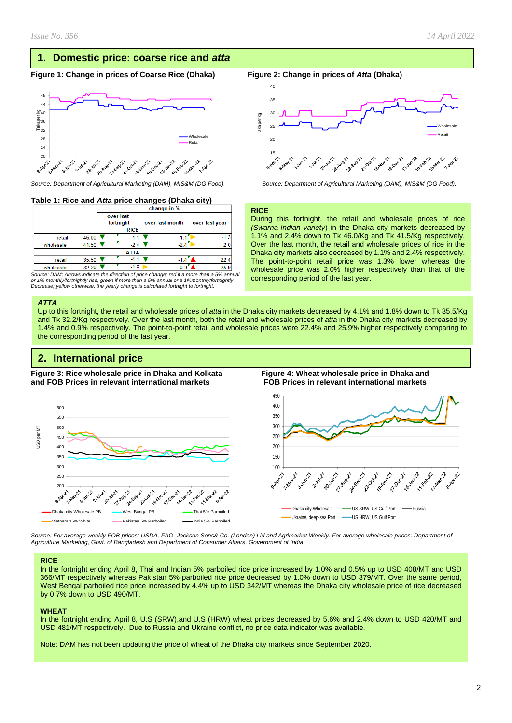Wholesale Retail

**1.89522** 

ഹ

10-February

10-Dec21

# **1. Domestic price: coarse rice and** *atta*

#### **Figure 1: Change in prices of Coarse Rice (Dhaka) Figure 2: Change in prices of** *Atta* **(Dhaka)**



*Source: Department of Agricultural Marketing (DAM), MIS&M (DG Food). Source: Department of Agricultural Marketing (DAM), MIS&M (DG Food).*

#### **Table 1: Rice and** *Atta* **price changes (Dhaka city)**

|           |             | change in %            |        |                 |        |                |        |  |
|-----------|-------------|------------------------|--------|-----------------|--------|----------------|--------|--|
|           |             | over last<br>fortnight |        | over last month |        | over last year |        |  |
|           | <b>RICE</b> |                        |        |                 |        |                |        |  |
| retail    | 46.00       |                        | -1.1   |                 | -1.1   |                | $-1.3$ |  |
| wholesale | 41.50       |                        | $-2.4$ |                 | $-2.4$ |                | 2.0    |  |
|           | <b>ATTA</b> |                        |        |                 |        |                |        |  |
| retail    | 35.50       |                        | $-4.1$ |                 | $-1.4$ |                | 22.4   |  |
| wholesale | 32.20       |                        | $-1.8$ |                 | $-0.9$ |                | 25.9   |  |

*Source: DAM; Arrows indicate the direction of price change: red if a more than a 5% annual or 1% monthly/fortnightly rise, green if more than a 5% annual or a 1%monthly/fortnightly Decrease; yellow otherwise, the yearly change is calculated fortnight to fortnight.*

#### *ATTA*

Up to this fortnight, the retail and wholesale prices of *atta* in the Dhaka city markets decreased by 4.1% and 1.8% down to Tk 35.5/Kg and Tk 32.2/Kg respectively. Over the last month, both the retail and wholesale prices of *atta* in the Dhaka city markets decreased by 1.4% and 0.9% respectively. The point-to-point retail and wholesale prices were 22.4% and 25.9% higher respectively comparing to the corresponding period of the last year.

**RICE**

B-Rot-21

Taka per kg

# **2. International price**

**Figure 3: Rice wholesale price in Dhaka and Kolkata Figure 4: Wheat wholesale price in Dhaka and and FOB Prices in relevant international markets FOB Prices in relevant international markets** 



corresponding period of the last year.

1-33x21 **Pollution** 

During this fortnight, the retail and wholesale prices of rice *(Swarna-Indian variety*) in the Dhaka city markets decreased by 1.1% and 2.4% down to Tk 46.0/Kg and Tk 41.5/Kg respectively. Over the last month, the retail and wholesale prices of rice in the Dhaka city markets also decreased by 1.1% and 2.4% respectively. The point-to-point retail price was 1.3% lower whereas the wholesale price was 2.0% higher respectively than that of the

21-00-22 **18-Nov-21-21** 



*Source: For average weekly FOB prices: USDA, FAO, Jackson Sons& Co. (London) Lid and Agrimarket Weekly. For average wholesale prices: Department of Agriculture Marketing, Govt. of Bangladesh and Department of Consumer Affairs, Government of India*

#### **RICE**

In the fortnight ending April 8, Thai and Indian 5% parboiled rice price increased by 1.0% and 0.5% up to USD 408/MT and USD 366/MT respectively whereas Pakistan 5% parboiled rice price decreased by 1.0% down to USD 379/MT. Over the same period, West Bengal parboiled rice price increased by 4.4% up to USD 342/MT whereas the Dhaka city wholesale price of rice decreased by 0.7% down to USD 490/MT.

#### **WHEAT**

In the fortnight ending April 8, U.S (SRW),and U.S (HRW) wheat prices decreased by 5.6% and 2.4% down to USD 420/MT and USD 481/MT respectively. Due to Russia and Ukraine conflict, no price data indicator was available.

Note: DAM has not been updating the price of wheat of the Dhaka city markets since September 2020.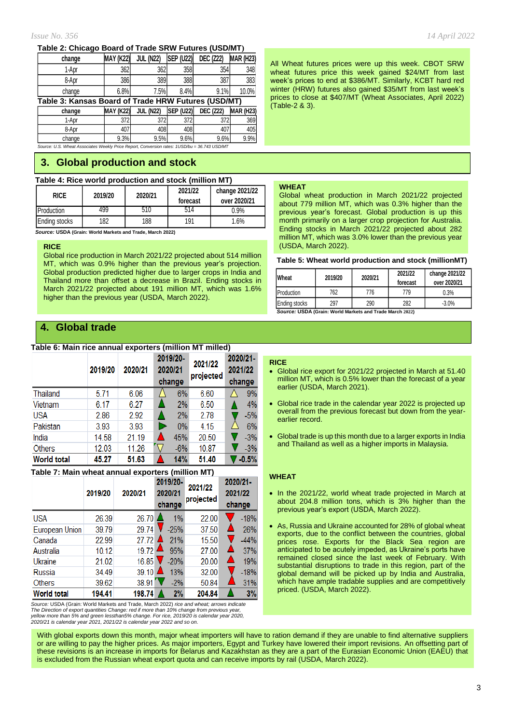#### **Table 2: Chicago Board of Trade SRW Futures (USD/MT)**

| change                                              | <b>MAY (K22)</b> | <b>JUL (N22)</b> | <b>SEP (U22)</b> | <b>DEC (Z22)</b> | <b>MAR (H23)</b> |  |  |  |
|-----------------------------------------------------|------------------|------------------|------------------|------------------|------------------|--|--|--|
| 1-Apr                                               | 362              | 362              | 358              | 354              | 348              |  |  |  |
| 8-Apr                                               | 386              | 389              | 388              | 387              | 383              |  |  |  |
| change                                              | 6.8%             | 7.5%             | 8.4%             | 9.1%             | 10.0%            |  |  |  |
| Table 3: Kansas Board of Trade HRW Futures (USD/MT) |                  |                  |                  |                  |                  |  |  |  |
|                                                     |                  |                  |                  |                  |                  |  |  |  |
| change                                              | <b>MAY (K22)</b> | <b>JUL (N22)</b> | <b>SEP (U22)</b> | <b>DEC (Z22)</b> | <b>MAR (H23)</b> |  |  |  |
| 1-Apr                                               | 372              | 372              | 372              | 372              | 369              |  |  |  |
| 8-Apr                                               | 407              | 408              | 408              | 407              | 405              |  |  |  |

*Source: U.S. Wheat Associates Weekly Price Report, Conversion rates: 1USD/bu = 36.743 USD/MT*

# **3. Global production and stock**

#### **Table 4: Rice world production and stock (million MT)**

| <b>RICE</b>   | 2019/20 | 2020/21 | 2021/22<br>forecast | change 2021/22<br>over 2020/21 |
|---------------|---------|---------|---------------------|--------------------------------|
| Production    | 499     | 510     | 514                 | 0.9%                           |
| Ending stocks | 182     | 188     | 191                 | $1.6\%$                        |

 *Source:* **USDA (Grain: World Markets and Trade, March 2022)**

#### **RICE**

Global rice production in March 2021/22 projected about 514 million MT, which was 0.9% higher than the previous year's projection. Global production predicted higher due to larger crops in India and Thailand more than offset a decrease in Brazil. Ending stocks in March 2021/22 projected about 191 million MT, which was 1.6% higher than the previous year (USDA, March 2022).

# **4. Global trade**

#### **Table 6: Main rice annual exporters (million MT milled)**

|                    | 2019/20 | 2020/21 | 2019/20-<br>2020/21<br>change | 2021/22<br>projected | 2020/21-<br>2021/22<br>change |
|--------------------|---------|---------|-------------------------------|----------------------|-------------------------------|
| Thailand           | 5.71    | 6.06    | 6%                            | 6.60                 | 9%                            |
| Vietnam            | 6.17    | 6.27    | 2%                            | 6.50                 | 4%                            |
| <b>USA</b>         | 2.86    | 2.92    | 2%                            | 2.78                 | $-5%$                         |
| Pakistan           | 3.93    | 3.93    | 0%                            | 4.15                 | 6%                            |
| India              | 14.58   | 21.19   | 45%                           | 20.50                | $-3%$                         |
| <b>Others</b>      | 12.03   | 11.26   | $-6%$                         | 10.87                | $-3%$                         |
| <b>World total</b> | 45.27   | 51.63   | 14%                           | 51.40                | $-0.5%$                       |

#### **Table 7: Main wheat annual exporters (million MT)**

|                    | 2019/20 | 2020/21             | 2019/20-<br>2020/21<br>change | 2021/22<br>projected | 2020/21-<br>2021/22<br>change |
|--------------------|---------|---------------------|-------------------------------|----------------------|-------------------------------|
| <b>USA</b>         | 26.39   | 26.70               | $1\%$                         | 22.00                | $-18%$                        |
| European Union     | 39.79   | 29.74               | $-25%$                        | 37.50                | 26%                           |
| Canada             | 22.99   | 27.72               | 21%                           | 15.50                | $-44%$                        |
| Australia          | 10.12   | 19.72               | 95%                           | 27.00                | 37%                           |
| Ukraine            | 21.02   | 16.85               | $-20%$                        | 20.00                | 19%<br>▁                      |
| Russia             | 34.49   | $39.10$ $\triangle$ | 13%                           | 32.00                | $-18%$                        |
| Others             | 39.62   | 38.91               | $-2%$                         | 50.84                | 31%                           |
| <b>World total</b> | 194.41  | 198.74              | 2%                            | 204.84               | 3%                            |

*Source:* USDA (Grain: World Markets and Trade, March 2022) *rice and wheat; arrows indicate The Direction of export quantities Change: red if more than 10% change from previous year,* yellow more than 5% and green lessthan5% change. For rice, 2019/20 is calendar year 2020,<br>2020/21 is calendar year 2021, 2021/22 is calendar year 2022 and so on.

All Wheat futures prices were up this week. CBOT SRW wheat futures price this week gained \$24/MT from last week's prices to end at \$386/MT. Similarly, KCBT hard red winter (HRW) futures also gained \$35/MT from last week's prices to close at \$407/MT (Wheat Associates, April 2022) (Table-2 & 3).

#### **WHEAT**

Global wheat production in March 2021/22 projected about 779 million MT, which was 0.3% higher than the previous year's forecast. Global production is up this month primarily on a larger crop projection for Australia. Ending stocks in March 2021/22 projected about 282 million MT, which was 3.0% lower than the previous year (USDA, March 2022).

#### **Table 5: Wheat world production and stock (millionMT)**

| Wheat                | 2019/20 | 2020/21 | 2021/22<br>forecast | change 2021/22<br>over 2020/21 |
|----------------------|---------|---------|---------------------|--------------------------------|
| Production           | 762     | 776     | 779                 | 0.3%                           |
| <b>Ending stocks</b> | 297     | 290     | 282                 | $-3.0%$                        |

*Source:* **USDA (Grain: World Markets and Trade March 2022)**

#### **RICE**

- Global rice export for 2021/22 projected in March at 51.40 million MT, which is 0.5% lower than the forecast of a year earlier (USDA, March 2021).
- Global rice trade in the calendar year 2022 is projected up overall from the previous forecast but down from the yearearlier record.
- Global trade is up this month due to a larger exports in India and Thailand as well as a higher imports in Malaysia.

#### **WHEAT**

- In the 2021/22, world wheat trade projected in March at about 204.8 million tons, which is 3% higher than the previous year's export (USDA, March 2022).
- As, Russia and Ukraine accounted for 28% of global wheat exports, due to the conflict between the countries, global prices rose. Exports for the Black Sea region are anticipated to be acutely impeded, as Ukraine's ports have remained closed since the last week of February. With substantial disruptions to trade in this region, part of the global demand will be picked up by India and Australia, which have ample tradable supplies and are competitively priced. (USDA, March 2022).

With global exports down this month, major wheat importers will have to ration demand if they are unable to find alternative suppliers or are willing to pay the higher prices. As major importers, Egypt and Turkey have lowered their import revisions. An offsetting part of these revisions is an increase in imports for Belarus and Kazakhstan as they are a part of the Eurasian Economic Union (EAEU) that is excluded from the Russian wheat export quota and can receive imports by rail (USDA, March 2022).